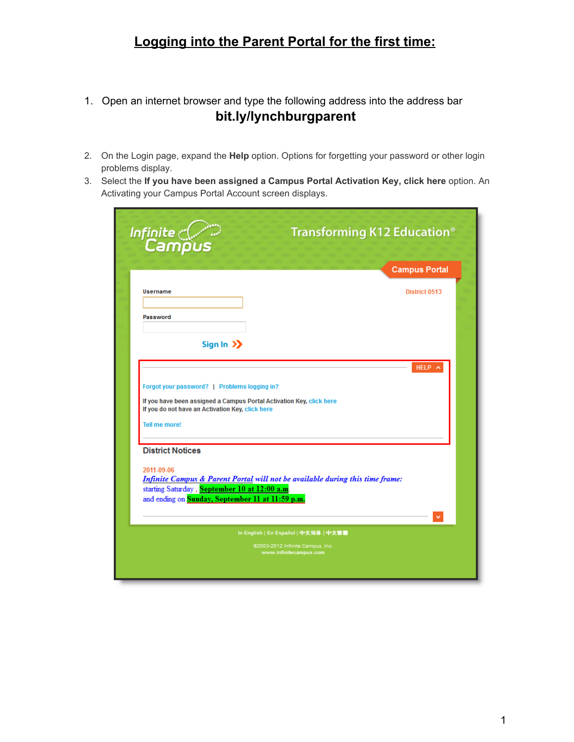## **Logging into the Parent Portal for the first time:**

- 1. Open an internet browser and type the following address into the address bar **bit.ly/l[ynchburgpar](https://campus.lcsedu.net/campus/portal/lynchburg.jsp)ent**
- 2. On the Login page, expand the **Help** option. Options for forgetting your password or other login problems display.
- 3. Select the **If you have been assigned a Campus Portal Activation Key, click here** option. An Activating your Campus Portal Account screen displays.

| Infinite<br>Campus                                                                                                                                                       | Transforming K12 Education <sup>®</sup>                                       |
|--------------------------------------------------------------------------------------------------------------------------------------------------------------------------|-------------------------------------------------------------------------------|
|                                                                                                                                                                          | <b>Campus Portal</b>                                                          |
| Username                                                                                                                                                                 | District 0513                                                                 |
|                                                                                                                                                                          |                                                                               |
| Password                                                                                                                                                                 |                                                                               |
| Sign In $\sum$                                                                                                                                                           |                                                                               |
|                                                                                                                                                                          | HELP A                                                                        |
| Forgot your password?   Problems logging in?<br>If you have been assigned a Campus Portal Activation Key, click here<br>If you do not have an Activation Key, click here |                                                                               |
|                                                                                                                                                                          |                                                                               |
| Tell me more!                                                                                                                                                            |                                                                               |
| <b>District Notices</b>                                                                                                                                                  |                                                                               |
| 2011-09-06                                                                                                                                                               | Infinite Campus & Parent Portal will not be available during this time frame: |
| starting Saturday, September 10 at 12:00 a.m.                                                                                                                            |                                                                               |
| and ending on Sunday, September 11 at 11:59 p.m.                                                                                                                         |                                                                               |
|                                                                                                                                                                          | In English   En Español   中文简体   中文繁體                                         |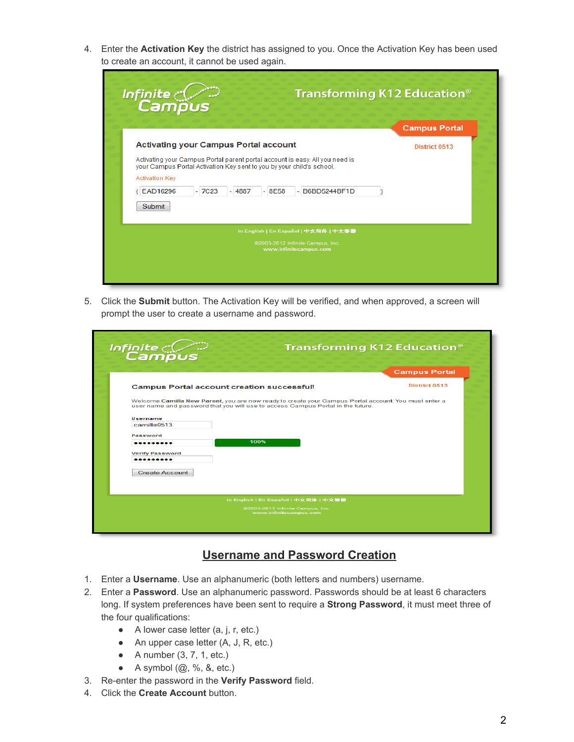4. Enter the **Activation Key** the district has assigned to you. Once the Activation Key has been used to create an account, it cannot be used again.

| Campus                                                                                                                                                                                                                                   |  | <b>Campus Portal</b> |
|------------------------------------------------------------------------------------------------------------------------------------------------------------------------------------------------------------------------------------------|--|----------------------|
| <b>Activating your Campus Portal account</b>                                                                                                                                                                                             |  | District 0513        |
| Activating your Campus Portal parent portal account is easy. All you need is<br>your Campus Portal Activation Key sent to you by your child's school.<br><b>Activation Key</b><br>EAD16296<br>$-7C23$<br>$-8E58$<br>B6BD5244BF1D<br>4887 |  |                      |
| Submit<br>In English   En Español   中文简体   中文繁體<br>@2003-2012 Infinite Campus, Inc.                                                                                                                                                      |  |                      |

5. Click the **Submit** button. The Activation Key will be verified, and when approved, a screen will prompt the user to create a username and password.

| Infinite<br>Campus                                                              | <b>Transforming K12 Education®</b>                                                                   |
|---------------------------------------------------------------------------------|------------------------------------------------------------------------------------------------------|
|                                                                                 | <b>Campus Portal</b>                                                                                 |
| <b>Campus Portal account creation successful!</b>                               | <b>District 0513</b>                                                                                 |
| user name and password that you will use to access Campus Portal in the future. | Welcome Camilla New Parent, you are now ready to create your Campus Portal account. You must enter a |
| Username<br>camilla0513                                                         |                                                                                                      |
| Password<br>100%<br>.                                                           |                                                                                                      |
| <b>Verify Password</b><br>.                                                     |                                                                                                      |
| <b>Create Account</b>                                                           |                                                                                                      |
|                                                                                 |                                                                                                      |
|                                                                                 | In English   En Español   中文简体   中文繁體                                                                |
|                                                                                 | @2003-2012 Infinite Campus, Inc.<br>www.infinitecampus.com                                           |
|                                                                                 |                                                                                                      |

## **Username and Password Creation**

- 1. Enter a **Username**. Use an alphanumeric (both letters and numbers) username.
- 2. Enter a **Password**. Use an alphanumeric password. Passwords should be at least 6 characters long. If system preferences have been sent to require a **Strong Password**, it must meet three of the four qualifications:
	- $\bullet$  A lower case letter  $(a, j, r, etc.)$
	- An upper case letter (A, J, R, etc.)
	- $\bullet$  A number (3, 7, 1, etc.)
	- $\bullet$  A symbol  $(\mathcal{Q}, \mathcal{V}, \mathcal{S}, \text{etc.})$
- 3. Re-enter the password in the Verify Password field.
- 4. Click the **Create Account** button.